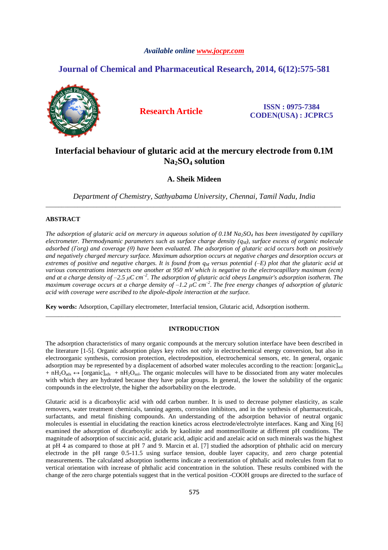# *Available online www.jocpr.com*

# **Journal of Chemical and Pharmaceutical Research, 2014, 6(12):575-581**



**Research Article ISSN : 0975-7384 CODEN(USA) : JCPRC5**

# **Interfacial behaviour of glutaric acid at the mercury electrode from 0.1M Na2SO4 solution**

**A. Sheik Mideen**

*Department of Chemistry, Sathyabama University, Chennai, Tamil Nadu, India*  \_\_\_\_\_\_\_\_\_\_\_\_\_\_\_\_\_\_\_\_\_\_\_\_\_\_\_\_\_\_\_\_\_\_\_\_\_\_\_\_\_\_\_\_\_\_\_\_\_\_\_\_\_\_\_\_\_\_\_\_\_\_\_\_\_\_\_\_\_\_\_\_\_\_\_\_\_\_\_\_\_\_\_\_\_\_\_\_\_\_\_\_\_

# **ABSTRACT**

*The adsorption of glutaric acid on mercury in aqueous solution of 0.1M Na2SO4 has been investigated by capillary electrometer. Thermodynamic parameters such as surface charge density (qM), surface excess of organic molecule adsorbed (Гorg) and coverage (θ) have been evaluated. The adsorption of glutaric acid occurs both on positively and negatively charged mercury surface. Maximum adsorption occurs at negative charges and desorption occurs at extremes of positive and negative charges. It is found from qM versus potential (‒E) plot that the glutaric acid at various concentrations intersects one another at 950 mV which is negative to the electrocapillary maximum (ecm) and at a charge density of ‒2.5 µC cm‒<sup>2</sup> . The adsorption of glutaric acid obeys Langmuir's adsorption isotherm. The maximum coverage occurs at a charge density of ‒1.2 µC cm‒<sup>2</sup> . The free energy changes of adsorption of glutaric acid with coverage were ascribed to the dipole-dipole interaction at the surface.* 

**Key words:** Adsorption, Capillary electrometer, Interfacial tension, Glutaric acid, Adsorption isotherm.

## **INTRODUCTION**

\_\_\_\_\_\_\_\_\_\_\_\_\_\_\_\_\_\_\_\_\_\_\_\_\_\_\_\_\_\_\_\_\_\_\_\_\_\_\_\_\_\_\_\_\_\_\_\_\_\_\_\_\_\_\_\_\_\_\_\_\_\_\_\_\_\_\_\_\_\_\_\_\_\_\_\_\_\_\_\_\_\_\_\_\_\_\_\_\_\_\_\_\_

The adsorption characteristics of many organic compounds at the mercury solution interface have been described in the literature [1-5]. Organic adsorption plays key roles not only in electrochemical energy conversion, but also in electroorganic synthesis, corrosion protection, electrodeposition, electrochemical sensors, etc. In general, organic adsorption may be represented by a displacement of adsorbed water molecules according to the reaction: [organic]<sub>sol</sub> +  $nH_2O_{ads}$   $\leftrightarrow$  [organic]<sub>ads</sub> +  $nH_2O_{sol}$ . The organic molecules will have to be dissociated from any water molecules with which they are hydrated because they have polar groups. In general, the lower the solubility of the organic compounds in the electrolyte, the higher the adsorbability on the electrode.

Glutaric acid is a dicarboxylic acid with odd carbon number. It is used to decrease polymer elasticity, as scale removers, water treatment chemicals, tanning agents, corrosion inhibitors, and in the synthesis of pharmaceuticals, surfactants, and metal finishing compounds. An understanding of the adsorption behavior of neutral organic molecules is essential in elucidating the reaction kinetics across electrode/electrolyte interfaces. Kang and Xing [6] examined the adsorption of dicarboxylic acids by kaolinite and montmorillonite at different pH conditions. The magnitude of adsorption of succinic acid, glutaric acid, adipic acid and azelaic acid on such minerals was the highest at pH 4 as compared to those at pH 7 and 9. Marcin et al. [7] studied the adsorption of phthalic acid on mercury electrode in the pH range 0.5-11.5 using surface tension, double layer capacity, and zero charge potential measurements. The calculated adsorption isotherms indicate a reorientation of phthalic acid molecules from flat to vertical orientation with increase of phthalic acid concentration in the solution. These results combined with the change of the zero charge potentials suggest that in the vertical position -COOH groups are directed to the surface of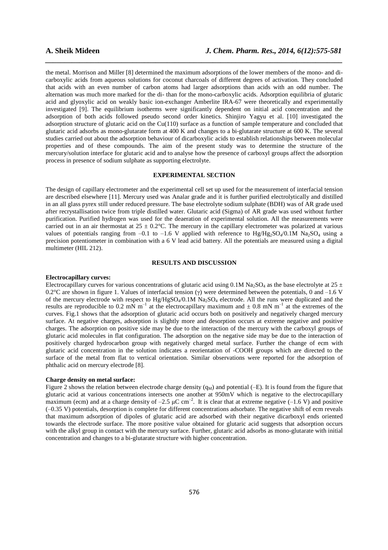the metal. Morrison and Miller [8] determined the maximum adsorptions of the lower members of the mono- and dicarboxylic acids from aqueous solutions for coconut charcoals of different degrees of activation. They concluded that acids with an even number of carbon atoms had larger adsorptions than acids with an odd number. The alternation was much more marked for the di- than for the mono-carboxylic acids. Adsorption equilibria of glutaric acid and glyoxylic acid on weakly basic ion-exchanger Amberlite IRA-67 were theoretically and experimentally investigated [9]. The equilibrium isotherms were significantly dependent on initial acid concentration and the adsorption of both acids followed pseudo second order kinetics. Shinjiro Yagyu et al. [10] investigated the adsorption structure of glutaric acid on the Cu(110) surface as a function of sample temperature and concluded that glutaric acid adsorbs as mono-glutarate form at 400 K and changes to a bi-glutarate structure at 600 K. The several studies carried out about the adsorption behaviour of dicarboxylic acids to establish relationships between molecular properties and of these compounds. The aim of the present study was to determine the structure of the mercury/solution interface for glutaric acid and to analyse how the presence of carboxyl groups affect the adsorption process in presence of sodium sulphate as supporting electrolyte.

*\_\_\_\_\_\_\_\_\_\_\_\_\_\_\_\_\_\_\_\_\_\_\_\_\_\_\_\_\_\_\_\_\_\_\_\_\_\_\_\_\_\_\_\_\_\_\_\_\_\_\_\_\_\_\_\_\_\_\_\_\_\_\_\_\_\_\_\_\_\_\_\_\_\_\_\_\_\_*

# **EXPERIMENTAL SECTION**

The design of capillary electrometer and the experimental cell set up used for the measurement of interfacial tension are described elsewhere [11]. Mercury used was Analar grade and it is further purified electrolytically and distilled in an all glass pyrex still under reduced pressure. The base electrolyte sodium sulphate (BDH) was of AR grade used after recrystallisation twice from triple distilled water. Glutaric acid (Sigma) of AR grade was used without further purification. Purified hydrogen was used for the deaeration of experimental solution. All the measurements were carried out in an air thermostat at  $25 \pm 0.2$ °C. The mercury in the capillary electrometer was polarized at various values of potentials ranging from  $-0.1$  to  $-1.6$  V applied with reference to Hg/Hg<sub>2</sub>SO<sub>4</sub>/0.1M Na<sub>2</sub>SO<sub>4</sub> using a precision potentiometer in combination with a 6 V lead acid battery. All the potentials are measured using a digital multimeter (HIL 212).

# **RESULTS AND DISCUSSION**

# **Electrocapillary curves:**

Electrocapillary curves for various concentrations of glutaric acid using 0.1M Na<sub>2</sub>SO<sub>4</sub> as the base electrolyte at 25  $\pm$ 0.2°C are shown in figure 1. Values of interfacial tension (γ) were determined between the potentials, 0 and  $-1.6$  V of the mercury electrode with respect to  $Hg/HgSO_4/0.1M$  Na<sub>2</sub>SO<sub>4</sub> electrode. All the runs were duplicated and the results are reproducible to 0.2 mN  $m^{-1}$  at the electrocapillary maximum and  $\pm$  0.8 mN  $m^{-1}$  at the extremes of the curves. Fig.1 shows that the adsorption of glutaric acid occurs both on positively and negatively charged mercury surface. At negative charges, adsorption is slightly more and desorption occurs at extreme negative and positive charges. The adsorption on positive side may be due to the interaction of the mercury with the carboxyl groups of glutaric acid molecules in flat configuration. The adsorption on the negative side may be due to the interaction of positively charged hydrocarbon group with negatively charged metal surface. Further the change of ecm with glutaric acid concentration in the solution indicates a reorientation of -COOH groups which are directed to the surface of the metal from flat to vertical orientation. Similar observations were reported for the adsorption of phthalic acid on mercury electrode [8].

### **Charge density on metal surface:**

Figure 2 shows the relation between electrode charge density  $(q_M)$  and potential (-E). It is found from the figure that glutaric acid at various concentrations intersects one another at 950mV which is negative to the electrocapillary maximum (ecm) and at a charge density of  $-2.5 \mu C \text{ cm}^{-2}$ . It is clear that at extreme negative (-1.6 V) and positive  $(-0.35 \text{ V})$  potentials, desorption is complete for different concentrations adsorbate. The negative shift of ecm reveals that maximum adsorption of dipoles of glutaric acid are adsorbed with their negative dicarboxyl ends oriented towards the electrode surface. The more positive value obtained for glutaric acid suggests that adsorption occurs with the alkyl group in contact with the mercury surface. Further, glutaric acid adsorbs as mono-glutarate with initial concentration and changes to a bi-glutarate structure with higher concentration.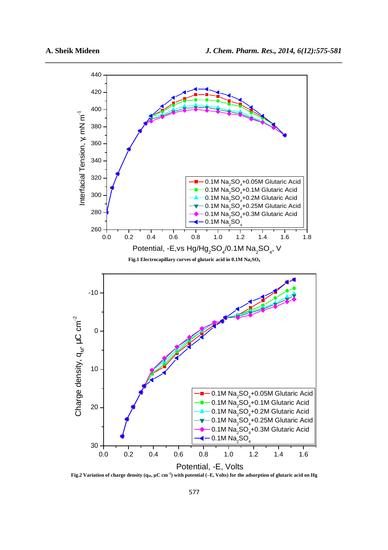

*\_\_\_\_\_\_\_\_\_\_\_\_\_\_\_\_\_\_\_\_\_\_\_\_\_\_\_\_\_\_\_\_\_\_\_\_\_\_\_\_\_\_\_\_\_\_\_\_\_\_\_\_\_\_\_\_\_\_\_\_\_\_\_\_\_\_\_\_\_\_\_\_\_\_\_\_\_\_*

**Fig.2 Variation of charge density (qM, µC cm‒<sup>2</sup> ) with potential (‒E, Volts) for the adsorption of glutaric acid on Hg**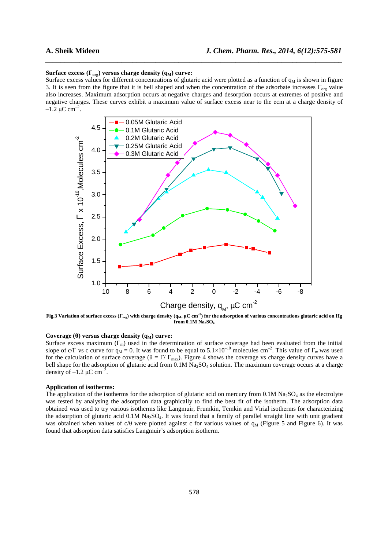### **Surface excess (** $\Gamma_{\text{org}}$ **) versus charge density (** $q_M$ **) curve:**

Surface excess values for different concentrations of glutaric acid were plotted as a function of  $q_M$  is shown in figure 3. It is seen from the figure that it is bell shaped and when the concentration of the adsorbate increases  $\Gamma_{\text{org}}$  value also increases. Maximum adsorption occurs at negative charges and desorption occurs at extremes of positive and negative charges. These curves exhibit a maximum value of surface excess near to the ecm at a charge density of  $-1.2 \mu C \text{ cm}^{-2}$ .

*\_\_\_\_\_\_\_\_\_\_\_\_\_\_\_\_\_\_\_\_\_\_\_\_\_\_\_\_\_\_\_\_\_\_\_\_\_\_\_\_\_\_\_\_\_\_\_\_\_\_\_\_\_\_\_\_\_\_\_\_\_\_\_\_\_\_\_\_\_\_\_\_\_\_\_\_\_\_*



**Fig.3** Variation of surface excess ( $\Gamma_{\text{org}}$ ) with charge density ( $q_\text{M}$ ,  $\mu$ C cm $^{-2}$ ) for the adsorption of various concentrations glutaric acid on Hg **from 0.1M Na2SO<sup>4</sup>**

# **Coverage (θ) versus charge density (q<sub>M</sub>) curve:**

Surface excess maximum  $(\Gamma_m)$  used in the determination of surface coverage had been evaluated from the initial slope of c/ $\Gamma$  vs c curve for  $q_M = 0$ . It was found to be equal to  $5.1 \times 10^{-10}$  molecules cm<sup>-2</sup>. This value of  $\Gamma_m$  was used for the calculation of surface coverage ( $\theta = \Gamma / \Gamma_{\text{max}}$ ). Figure 4 shows the coverage vs charge density curves have a bell shape for the adsorption of glutaric acid from  $0.1M$  Na<sub>2</sub>SO<sub>4</sub> solution. The maximum coverage occurs at a charge density of  $-1.2 \mu C \text{ cm}^{-2}$ .

### **Application of isotherms:**

The application of the isotherms for the adsorption of glutaric acid on mercury from  $0.1M$  Na<sub>2</sub>SO<sub>4</sub> as the electrolyte was tested by analysing the adsorption data graphically to find the best fit of the isotherm. The adsorption data obtained was used to try various isotherms like Langmuir, Frumkin, Temkin and Virial isotherms for characterizing the adsorption of glutaric acid  $0.1M$  Na<sub>2</sub>SO<sub>4</sub>. It was found that a family of parallel straight line with unit gradient was obtained when values of  $c/\theta$  were plotted against c for various values of  $q_M$  (Figure 5 and Figure 6). It was found that adsorption data satisfies Langmuir's adsorption isotherm.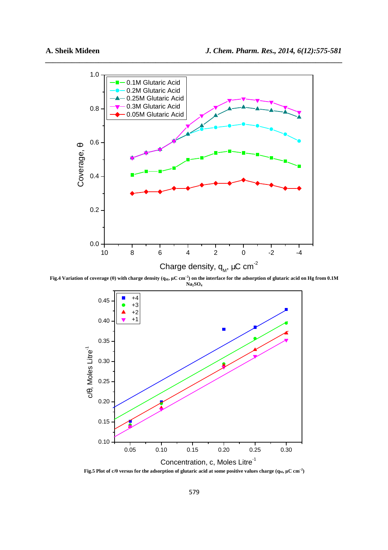

*\_\_\_\_\_\_\_\_\_\_\_\_\_\_\_\_\_\_\_\_\_\_\_\_\_\_\_\_\_\_\_\_\_\_\_\_\_\_\_\_\_\_\_\_\_\_\_\_\_\_\_\_\_\_\_\_\_\_\_\_\_\_\_\_\_\_\_\_\_\_\_\_\_\_\_\_\_\_*

**Fig.4 Variation of coverage (θ) with charge density (qM, µC cm‒<sup>2</sup> ) on the interface for the adsorption of glutaric acid on Hg from 0.1M Na2SO<sup>4</sup>**



**Fig.5 Plot of c/** $\theta$  **versus for the adsorption of glutaric acid at some positive values charge (** $q_M$ **,**  $\mu$ **C cm<sup>-2</sup>)**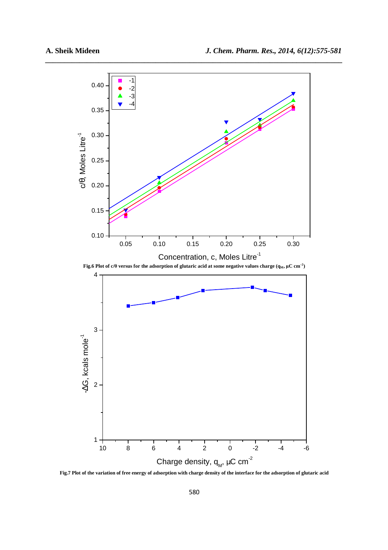

*\_\_\_\_\_\_\_\_\_\_\_\_\_\_\_\_\_\_\_\_\_\_\_\_\_\_\_\_\_\_\_\_\_\_\_\_\_\_\_\_\_\_\_\_\_\_\_\_\_\_\_\_\_\_\_\_\_\_\_\_\_\_\_\_\_\_\_\_\_\_\_\_\_\_\_\_\_\_*

**Fig.7 Plot of the variation of free energy of adsorption with charge density of the interface for the adsorption of glutaric acid**